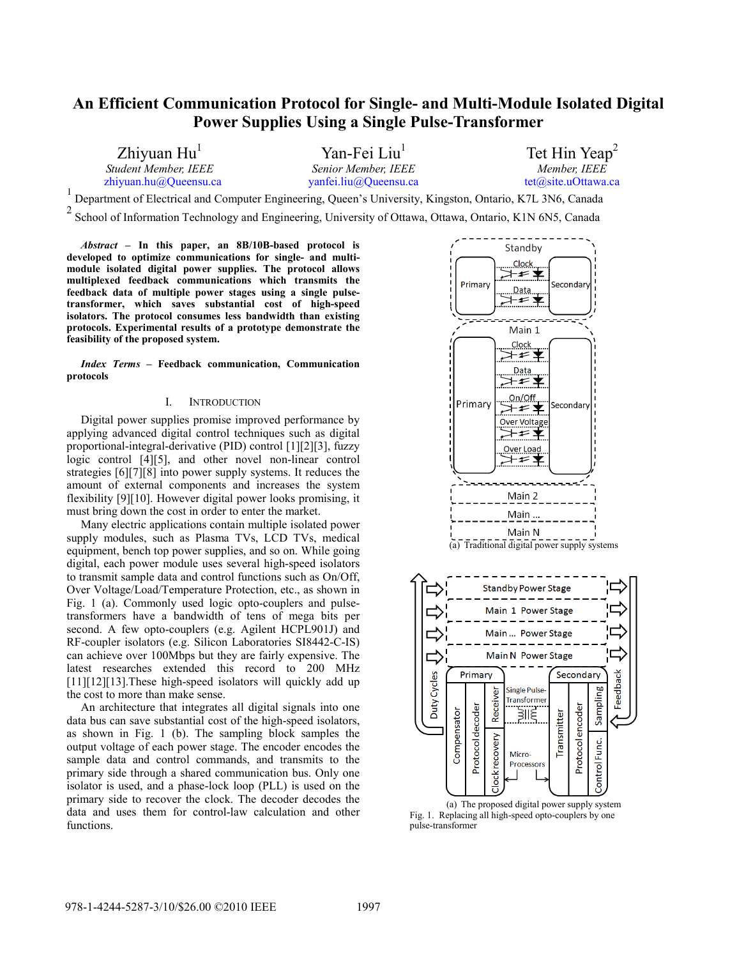# **An Efficient Communication Protocol for Single- and Multi-Module Isolated Digital Power Supplies Using a Single Pulse-Transformer**

Zhiyuan Hu<sup>l</sup> *Student Member, IEEE*  zhiyuan.hu@Queensu.ca

Yan-Fei Liu 1 *Senior Member, IEEE*  yanfei.liu@Queensu.ca

Tet Hin Yeap<sup>2</sup> *Member, IEEE*<br>tet@site.uOttawa.ca

Department of Electrical and Computer Engineering, Queen's University, Kingston, Ontario, K7L 3N6, Canada

<sup>2</sup> School of Information Technology and Engineering, University of Ottawa, Ottawa, Ontario, K1N 6N5, Canada

*Abstract* **– In this paper, an 8B/10B-based protocol is developed to optimize communications for single- and multimodule isolated digital power supplies. The protocol allows multiplexed feedback communications which transmits the feedback data of multiple power stages using a single pulsetransformer, which saves substantial cost of high-speed isolators. The protocol consumes less bandwidth than existing protocols. Experimental results of a prototype demonstrate the feasibility of the proposed system.** 

*Index Terms* **– Feedback communication, Communication protocols** 

#### I. INTRODUCTION

Digital power supplies promise improved performance by applying advanced digital control techniques such as digital proportional-integral-derivative (PID) control [1][2][3], fuzzy logic control [4][5], and other novel non-linear control strategies [6][7][8] into power supply systems. It reduces the amount of external components and increases the system flexibility [9][10]. However digital power looks promising, it must bring down the cost in order to enter the market.

Many electric applications contain multiple isolated power supply modules, such as Plasma TVs, LCD TVs, medical equipment, bench top power supplies, and so on. While going digital, each power module uses several high-speed isolators to transmit sample data and control functions such as On/Off, Over Voltage/Load/Temperature Protection, etc., as shown in Fig. 1 (a). Commonly used logic opto-couplers and pulsetransformers have a bandwidth of tens of mega bits per second. A few opto-couplers (e.g. Agilent HCPL901J) and RF-coupler isolators (e.g. Silicon Laboratories SI8442-C-IS) can achieve over 100Mbps but they are fairly expensive. The latest researches extended this record to 200 MHz [11][12][13].These high-speed isolators will quickly add up the cost to more than make sense.

An architecture that integrates all digital signals into one data bus can save substantial cost of the high-speed isolators, as shown in Fig. 1 (b). The sampling block samples the output voltage of each power stage. The encoder encodes the sample data and control commands, and transmits to the primary side through a shared communication bus. Only one isolator is used, and a phase-lock loop (PLL) is used on the primary side to recover the clock. The decoder decodes the data and uses them for control-law calculation and other functions.



(a) The proposed digital power supply system Fig. 1. Replacing all high-speed opto-couplers by one pulse-transformer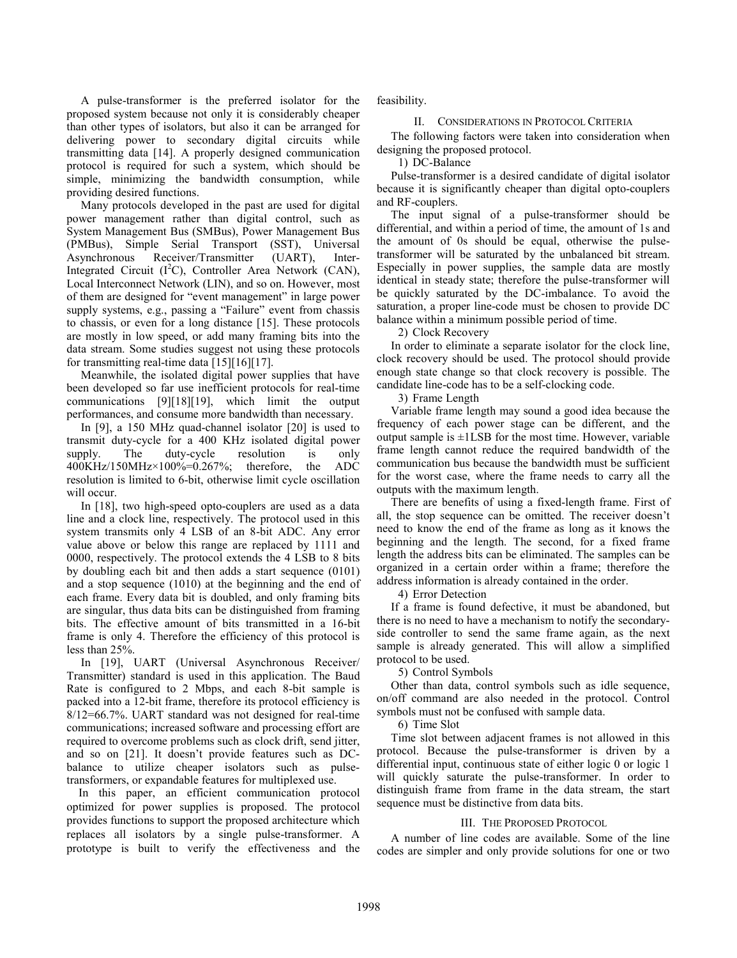A pulse-transformer is the preferred isolator for the proposed system because not only it is considerably cheaper than other types of isolators, but also it can be arranged for delivering power to secondary digital circuits while transmitting data [14]. A properly designed communication protocol is required for such a system, which should be simple, minimizing the bandwidth consumption, while providing desired functions.

Many protocols developed in the past are used for digital power management rather than digital control, such as System Management Bus (SMBus), Power Management Bus (PMBus), Simple Serial Transport (SST), Universal Asynchronous Receiver/Transmitter (UART), Inter-Integrated Circuit  $(I<sup>2</sup>C)$ , Controller Area Network (CAN), Local Interconnect Network (LIN), and so on. However, most of them are designed for "event management" in large power supply systems, e.g., passing a "Failure" event from chassis to chassis, or even for a long distance [15]. These protocols are mostly in low speed, or add many framing bits into the data stream. Some studies suggest not using these protocols for transmitting real-time data [15][16][17].

Meanwhile, the isolated digital power supplies that have been developed so far use inefficient protocols for real-time communications [9][18][19], which limit the output performances, and consume more bandwidth than necessary.

In [9], a 150 MHz quad-channel isolator [20] is used to transmit duty-cycle for a 400 KHz isolated digital power supply. The duty-cycle resolution is only 400KHz/150MHz×100%=0.267%; therefore, the ADC resolution is limited to 6-bit, otherwise limit cycle oscillation will occur.

In [18], two high-speed opto-couplers are used as a data line and a clock line, respectively. The protocol used in this system transmits only 4 LSB of an 8-bit ADC. Any error value above or below this range are replaced by 1111 and 0000, respectively. The protocol extends the 4 LSB to 8 bits by doubling each bit and then adds a start sequence (0101) and a stop sequence (1010) at the beginning and the end of each frame. Every data bit is doubled, and only framing bits are singular, thus data bits can be distinguished from framing bits. The effective amount of bits transmitted in a 16-bit frame is only 4. Therefore the efficiency of this protocol is less than 25%.

In [19], UART (Universal Asynchronous Receiver/ Transmitter) standard is used in this application. The Baud Rate is configured to 2 Mbps, and each 8-bit sample is packed into a 12-bit frame, therefore its protocol efficiency is 8/12=66.7%. UART standard was not designed for real-time communications; increased software and processing effort are required to overcome problems such as clock drift, send jitter, and so on [21]. It doesn't provide features such as DCbalance to utilize cheaper isolators such as pulsetransformers, or expandable features for multiplexed use.

In this paper, an efficient communication protocol optimized for power supplies is proposed. The protocol provides functions to support the proposed architecture which replaces all isolators by a single pulse-transformer. A prototype is built to verify the effectiveness and the feasibility.

### II. CONSIDERATIONS IN PROTOCOL CRITERIA

The following factors were taken into consideration when designing the proposed protocol.

1) DC-Balance

Pulse-transformer is a desired candidate of digital isolator because it is significantly cheaper than digital opto-couplers and RF-couplers.

The input signal of a pulse-transformer should be differential, and within a period of time, the amount of 1s and the amount of 0s should be equal, otherwise the pulsetransformer will be saturated by the unbalanced bit stream. Especially in power supplies, the sample data are mostly identical in steady state; therefore the pulse-transformer will be quickly saturated by the DC-imbalance. To avoid the saturation, a proper line-code must be chosen to provide DC balance within a minimum possible period of time.

2) Clock Recovery

In order to eliminate a separate isolator for the clock line, clock recovery should be used. The protocol should provide enough state change so that clock recovery is possible. The candidate line-code has to be a self-clocking code.

3) Frame Length

Variable frame length may sound a good idea because the frequency of each power stage can be different, and the output sample is  $\pm$ 1LSB for the most time. However, variable frame length cannot reduce the required bandwidth of the communication bus because the bandwidth must be sufficient for the worst case, where the frame needs to carry all the outputs with the maximum length.

There are benefits of using a fixed-length frame. First of all, the stop sequence can be omitted. The receiver doesn't need to know the end of the frame as long as it knows the beginning and the length. The second, for a fixed frame length the address bits can be eliminated. The samples can be organized in a certain order within a frame; therefore the address information is already contained in the order.

4) Error Detection

If a frame is found defective, it must be abandoned, but there is no need to have a mechanism to notify the secondaryside controller to send the same frame again, as the next sample is already generated. This will allow a simplified protocol to be used.

5) Control Symbols

Other than data, control symbols such as idle sequence, on/off command are also needed in the protocol. Control symbols must not be confused with sample data.

6) Time Slot

Time slot between adjacent frames is not allowed in this protocol. Because the pulse-transformer is driven by a differential input, continuous state of either logic 0 or logic 1 will quickly saturate the pulse-transformer. In order to distinguish frame from frame in the data stream, the start sequence must be distinctive from data bits.

## III. THE PROPOSED PROTOCOL

A number of line codes are available. Some of the line codes are simpler and only provide solutions for one or two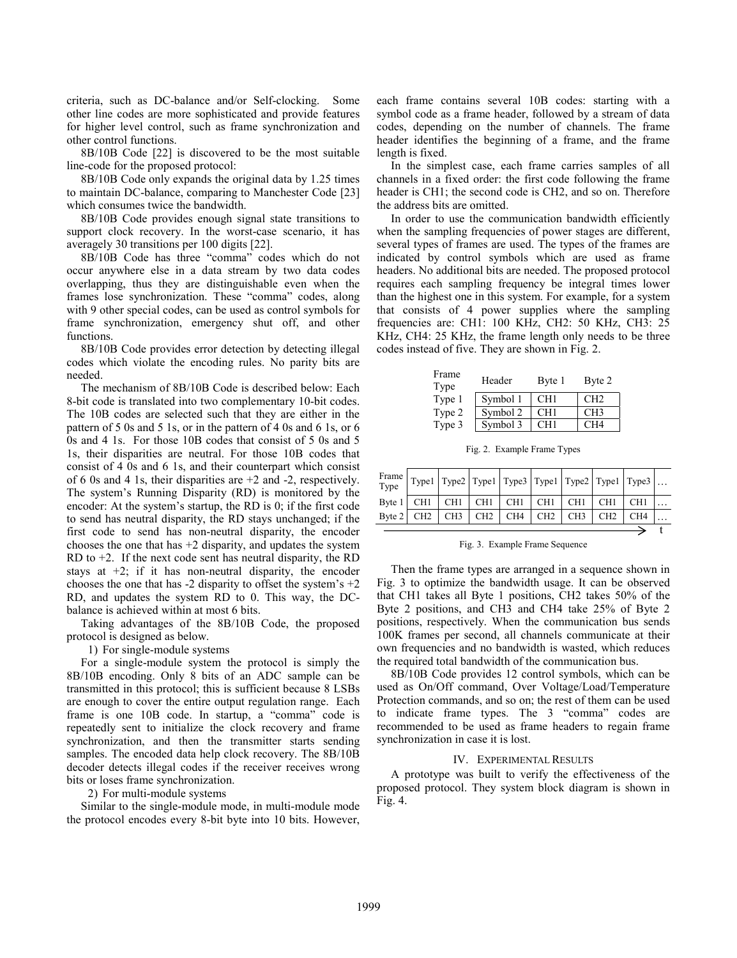criteria, such as DC-balance and/or Self-clocking. Some other line codes are more sophisticated and provide features for higher level control, such as frame synchronization and other control functions.

8B/10B Code [22] is discovered to be the most suitable line-code for the proposed protocol:

8B/10B Code only expands the original data by 1.25 times to maintain DC-balance, comparing to Manchester Code [23] which consumes twice the bandwidth.

8B/10B Code provides enough signal state transitions to support clock recovery. In the worst-case scenario, it has averagely 30 transitions per 100 digits [22].

8B/10B Code has three "comma" codes which do not occur anywhere else in a data stream by two data codes overlapping, thus they are distinguishable even when the frames lose synchronization. These "comma" codes, along with 9 other special codes, can be used as control symbols for frame synchronization, emergency shut off, and other functions.

8B/10B Code provides error detection by detecting illegal codes which violate the encoding rules. No parity bits are needed.

The mechanism of 8B/10B Code is described below: Each 8-bit code is translated into two complementary 10-bit codes. The 10B codes are selected such that they are either in the pattern of 5 0s and 5 1s, or in the pattern of 4 0s and 6 1s, or 6 0s and 4 1s. For those 10B codes that consist of 5 0s and 5 1s, their disparities are neutral. For those 10B codes that consist of 4 0s and 6 1s, and their counterpart which consist of 6 0s and 4 1s, their disparities are +2 and -2, respectively. The system's Running Disparity (RD) is monitored by the encoder: At the system's startup, the RD is 0; if the first code to send has neutral disparity, the RD stays unchanged; if the first code to send has non-neutral disparity, the encoder chooses the one that has  $+2$  disparity, and updates the system RD to  $+2$ . If the next code sent has neutral disparity, the RD stays at +2; if it has non-neutral disparity, the encoder chooses the one that has  $-2$  disparity to offset the system's  $+2$ RD, and updates the system RD to 0. This way, the DCbalance is achieved within at most 6 bits.

Taking advantages of the 8B/10B Code, the proposed protocol is designed as below.

1) For single-module systems

For a single-module system the protocol is simply the 8B/10B encoding. Only 8 bits of an ADC sample can be transmitted in this protocol; this is sufficient because 8 LSBs are enough to cover the entire output regulation range. Each frame is one 10B code. In startup, a "comma" code is repeatedly sent to initialize the clock recovery and frame synchronization, and then the transmitter starts sending samples. The encoded data help clock recovery. The 8B/10B decoder detects illegal codes if the receiver receives wrong bits or loses frame synchronization.

2) For multi-module systems

Similar to the single-module mode, in multi-module mode the protocol encodes every 8-bit byte into 10 bits. However, each frame contains several 10B codes: starting with a symbol code as a frame header, followed by a stream of data codes, depending on the number of channels. The frame header identifies the beginning of a frame, and the frame length is fixed.

In the simplest case, each frame carries samples of all channels in a fixed order: the first code following the frame header is CH1; the second code is CH2, and so on. Therefore the address bits are omitted.

In order to use the communication bandwidth efficiently when the sampling frequencies of power stages are different, several types of frames are used. The types of the frames are indicated by control symbols which are used as frame headers. No additional bits are needed. The proposed protocol requires each sampling frequency be integral times lower than the highest one in this system. For example, for a system that consists of 4 power supplies where the sampling frequencies are: CH1: 100 KHz, CH2: 50 KHz, CH3: 25 KHz, CH4: 25 KHz, the frame length only needs to be three codes instead of five. They are shown in Fig. 2.

| Frame<br>Type | Header   | Byte 1          | Byte 2          |
|---------------|----------|-----------------|-----------------|
| Type 1        | Symbol 1 | CH1             | CH2             |
| Type 2        | Symbol 2 | CH1             | CH3             |
| Type 3        | Symbol 3 | CH <sub>1</sub> | CH <sub>4</sub> |

Fig. 2. Example Frame Types

|  |  |                                                                                          |                 |     | Frame   Type1   Type2   Type1   Type3   Type1   Type2   Type1   Type3 |  |
|--|--|------------------------------------------------------------------------------------------|-----------------|-----|-----------------------------------------------------------------------|--|
|  |  | Byte $1 \mid CH1 \mid CH1 \mid CH1 \mid CH1 \mid CH1 \mid CH1 \mid CH1 \mid CH1$         |                 |     |                                                                       |  |
|  |  | Byte $2$ CH <sub>2</sub> CH <sub>3</sub> CH <sub>2</sub> CH <sub>4</sub> CH <sub>2</sub> | CH <sub>3</sub> | CH2 | CH4                                                                   |  |
|  |  |                                                                                          |                 |     |                                                                       |  |

Fig. 3. Example Frame Sequence

Then the frame types are arranged in a sequence shown in Fig. 3 to optimize the bandwidth usage. It can be observed that CH1 takes all Byte 1 positions, CH2 takes 50% of the Byte 2 positions, and CH3 and CH4 take 25% of Byte 2 positions, respectively. When the communication bus sends 100K frames per second, all channels communicate at their own frequencies and no bandwidth is wasted, which reduces the required total bandwidth of the communication bus.

8B/10B Code provides 12 control symbols, which can be used as On/Off command, Over Voltage/Load/Temperature Protection commands, and so on; the rest of them can be used to indicate frame types. The 3 "comma" codes are recommended to be used as frame headers to regain frame synchronization in case it is lost.

## IV. EXPERIMENTAL RESULTS

A prototype was built to verify the effectiveness of the proposed protocol. They system block diagram is shown in Fig. 4.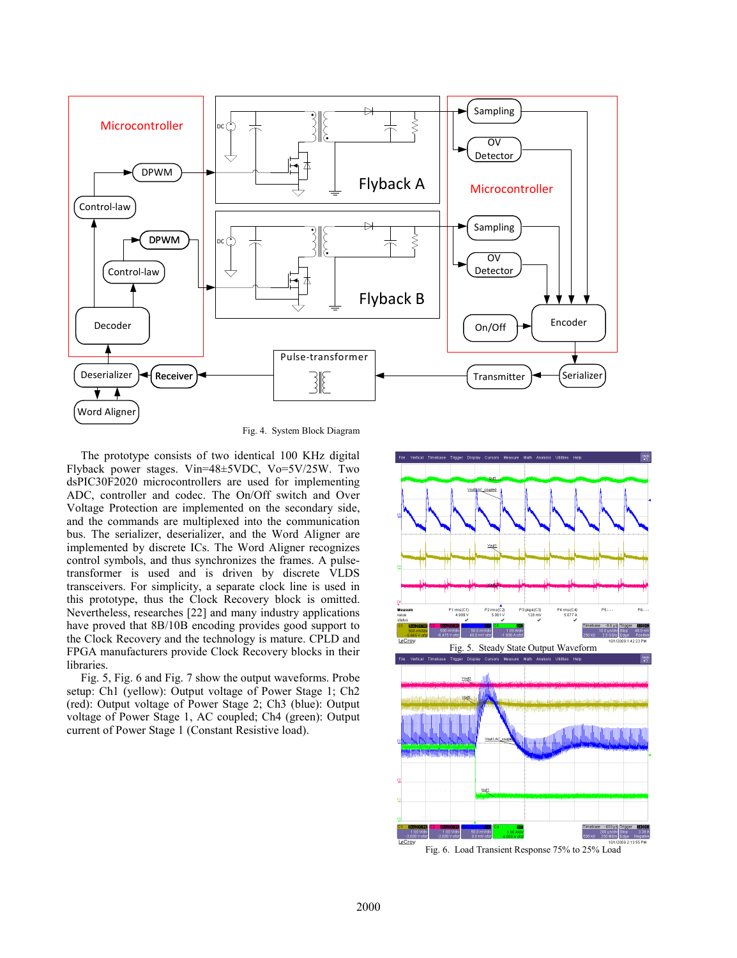

Fig. 4. System Block Diagram

The prototype consists of two identical 100 KHz digital Flyback power stages. Vin=48±5VDC, Vo=5V/25W. Two dsPIC30F2020 microcontrollers are used for implementing ADC, controller and codec. The On/Off switch and Over Voltage Protection are implemented on the secondary side, and the commands are multiplexed into the communication bus. The serializer, deserializer, and the Word Aligner are implemented by discrete ICs. The Word Aligner recognizes control symbols, and thus synchronizes the frames. A pulsetransformer is used and is driven by discrete VLDS transceivers. For simplicity, a separate clock line is used in this prototype, thus the Clock Recovery block is omitted. Nevertheless, researches [22] and many industry applications have proved that 8B/10B encoding provides good support to the Clock Recovery and the technology is mature. CPLD and FPGA manufacturers provide Clock Recovery blocks in their libraries.

Fig. 5, Fig. 6 and Fig. 7 show the output waveforms. Probe setup: Ch1 (yellow): Output voltage of Power Stage 1; Ch2 (red): Output voltage of Power Stage 2; Ch3 (blue): Output voltage of Power Stage 1, AC coupled; Ch4 (green): Output current of Power Stage 1 (Constant Resistive load).

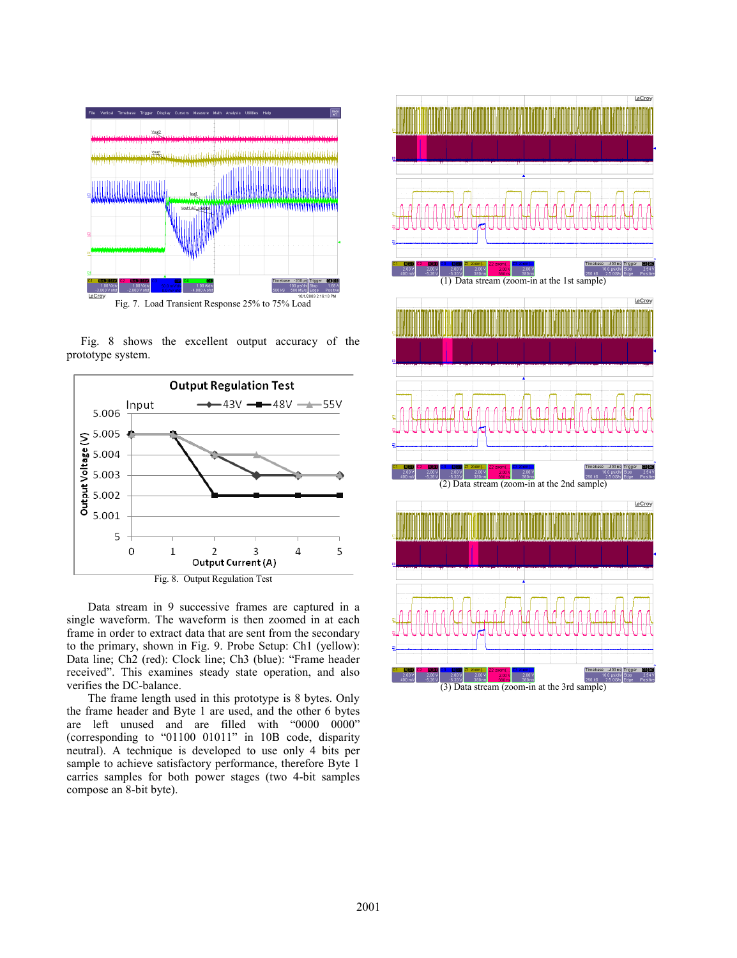

Fig. 8 shows the excellent output accuracy of the prototype system.



Data stream in 9 successive frames are captured in a single waveform. The waveform is then zoomed in at each frame in order to extract data that are sent from the secondary to the primary, shown in Fig. 9. Probe Setup: Ch1 (yellow): Data line; Ch2 (red): Clock line; Ch3 (blue): "Frame header received". This examines steady state operation, and also verifies the DC-balance.

The frame length used in this prototype is 8 bytes. Only the frame header and Byte 1 are used, and the other 6 bytes are left unused and are filled with "0000 0000" (corresponding to "01100 01011" in 10B code, disparity neutral). A technique is developed to use only 4 bits per sample to achieve satisfactory performance, therefore Byte 1 carries samples for both power stages (two 4-bit samples compose an 8-bit byte).

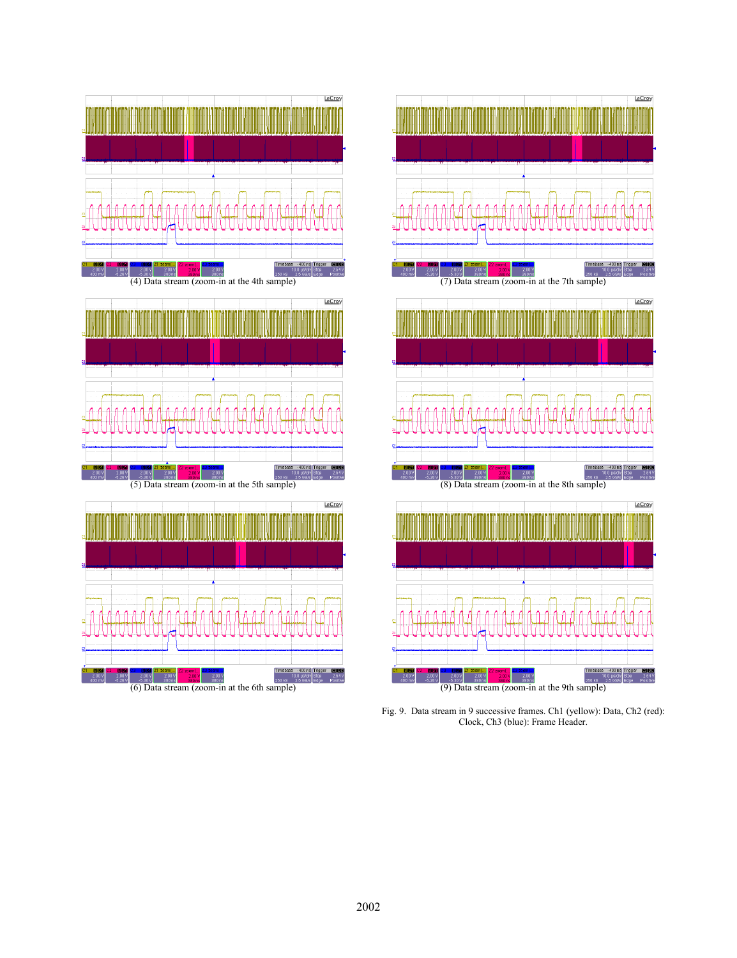



Fig. 9. Data stream in 9 successive frames. Ch1 (yellow): Data, Ch2 (red): Clock, Ch3 (blue): Frame Header.